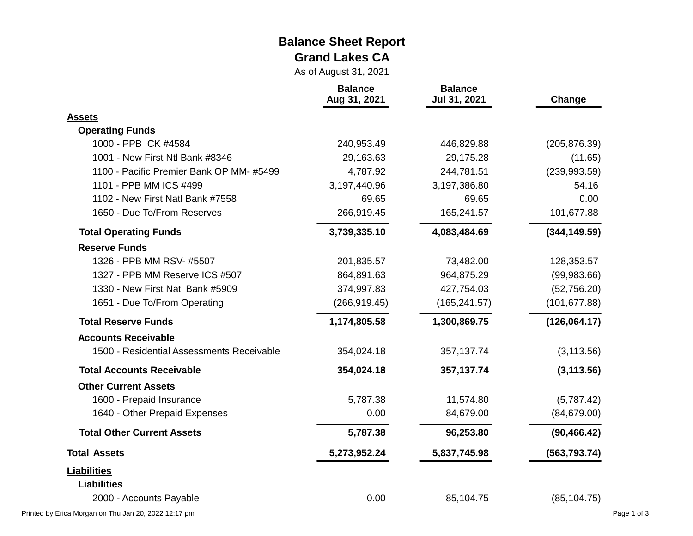#### **Balance Sheet Report Grand Lakes CA**

As of August 31, 2021

|                                           | <b>Balance</b><br>Aug 31, 2021 | <b>Balance</b><br>Jul 31, 2021 | Change        |
|-------------------------------------------|--------------------------------|--------------------------------|---------------|
| <b>Assets</b>                             |                                |                                |               |
| <b>Operating Funds</b>                    |                                |                                |               |
| 1000 - PPB CK #4584                       | 240,953.49                     | 446,829.88                     | (205, 876.39) |
| 1001 - New First Ntl Bank #8346           | 29,163.63                      | 29,175.28                      | (11.65)       |
| 1100 - Pacific Premier Bank OP MM-#5499   | 4,787.92                       | 244,781.51                     | (239, 993.59) |
| 1101 - PPB MM ICS #499                    | 3,197,440.96                   | 3,197,386.80                   | 54.16         |
| 1102 - New First Natl Bank #7558          | 69.65                          | 69.65                          | 0.00          |
| 1650 - Due To/From Reserves               | 266,919.45                     | 165,241.57                     | 101,677.88    |
| <b>Total Operating Funds</b>              | 3,739,335.10                   | 4,083,484.69                   | (344, 149.59) |
| <b>Reserve Funds</b>                      |                                |                                |               |
| 1326 - PPB MM RSV- #5507                  | 201,835.57                     | 73,482.00                      | 128,353.57    |
| 1327 - PPB MM Reserve ICS #507            | 864,891.63                     | 964,875.29                     | (99, 983.66)  |
| 1330 - New First Natl Bank #5909          | 374,997.83                     | 427,754.03                     | (52,756.20)   |
| 1651 - Due To/From Operating              | (266, 919.45)                  | (165, 241.57)                  | (101, 677.88) |
| <b>Total Reserve Funds</b>                | 1,174,805.58                   | 1,300,869.75                   | (126,064.17)  |
| <b>Accounts Receivable</b>                |                                |                                |               |
| 1500 - Residential Assessments Receivable | 354,024.18                     | 357,137.74                     | (3, 113.56)   |
| <b>Total Accounts Receivable</b>          | 354,024.18                     | 357, 137. 74                   | (3, 113.56)   |
| <b>Other Current Assets</b>               |                                |                                |               |
| 1600 - Prepaid Insurance                  | 5,787.38                       | 11,574.80                      | (5,787.42)    |
| 1640 - Other Prepaid Expenses             | 0.00                           | 84,679.00                      | (84, 679.00)  |
| <b>Total Other Current Assets</b>         | 5,787.38                       | 96,253.80                      | (90, 466.42)  |
| <b>Total Assets</b>                       | 5,273,952.24                   | 5,837,745.98                   | (563, 793.74) |
| <b>Liabilities</b>                        |                                |                                |               |
| <b>Liabilities</b>                        |                                |                                |               |
| 2000 - Accounts Payable                   | 0.00                           | 85,104.75                      | (85, 104.75)  |

Printed by Erica Morgan on Thu Jan 20, 2022 12:17 pm Page 1 of 3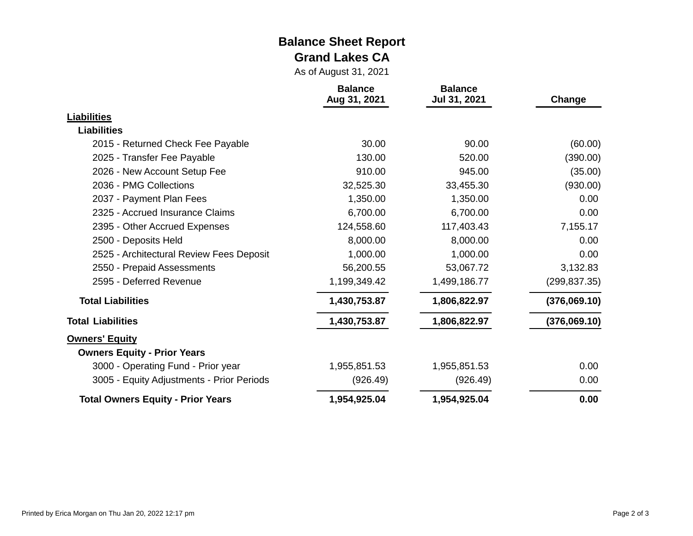#### **Balance Sheet Report Grand Lakes CA**

As of August 31, 2021

|                                           | <b>Balance</b><br>Aug 31, 2021 | <b>Balance</b><br>Jul 31, 2021 | Change        |
|-------------------------------------------|--------------------------------|--------------------------------|---------------|
| <b>Liabilities</b>                        |                                |                                |               |
| <b>Liabilities</b>                        |                                |                                |               |
| 2015 - Returned Check Fee Payable         | 30.00                          | 90.00                          | (60.00)       |
| 2025 - Transfer Fee Payable               | 130.00                         | 520.00                         | (390.00)      |
| 2026 - New Account Setup Fee              | 910.00                         | 945.00                         | (35.00)       |
| 2036 - PMG Collections                    | 32,525.30                      | 33,455.30                      | (930.00)      |
| 2037 - Payment Plan Fees                  | 1,350.00                       | 1,350.00                       | 0.00          |
| 2325 - Accrued Insurance Claims           | 6,700.00                       | 6,700.00                       | 0.00          |
| 2395 - Other Accrued Expenses             | 124,558.60                     | 117,403.43                     | 7,155.17      |
| 2500 - Deposits Held                      | 8,000.00                       | 8,000.00                       | 0.00          |
| 2525 - Architectural Review Fees Deposit  | 1,000.00                       | 1,000.00                       | 0.00          |
| 2550 - Prepaid Assessments                | 56,200.55                      | 53,067.72                      | 3,132.83      |
| 2595 - Deferred Revenue                   | 1,199,349.42                   | 1,499,186.77                   | (299, 837.35) |
| <b>Total Liabilities</b>                  | 1,430,753.87                   | 1,806,822.97                   | (376,069.10)  |
| <b>Total Liabilities</b>                  | 1,430,753.87                   | 1,806,822.97                   | (376,069.10)  |
| <b>Owners' Equity</b>                     |                                |                                |               |
| <b>Owners Equity - Prior Years</b>        |                                |                                |               |
| 3000 - Operating Fund - Prior year        | 1,955,851.53                   | 1,955,851.53                   | 0.00          |
| 3005 - Equity Adjustments - Prior Periods | (926.49)                       | (926.49)                       | 0.00          |
| <b>Total Owners Equity - Prior Years</b>  | 1,954,925.04                   | 1,954,925.04                   | 0.00          |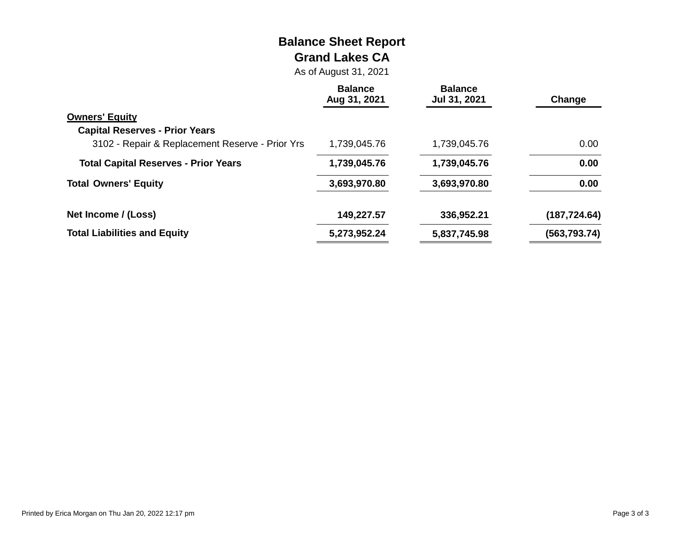# **Balance Sheet Report Grand Lakes CA**

As of August 31, 2021

|                                                 | <b>Balance</b><br>Aug 31, 2021 | <b>Balance</b><br>Jul 31, 2021 | Change            |
|-------------------------------------------------|--------------------------------|--------------------------------|-------------------|
| <b>Owners' Equity</b>                           |                                |                                |                   |
| <b>Capital Reserves - Prior Years</b>           |                                |                                |                   |
| 3102 - Repair & Replacement Reserve - Prior Yrs | 1,739,045.76                   | 1,739,045.76                   | 0.00 <sub>1</sub> |
| <b>Total Capital Reserves - Prior Years</b>     | 1,739,045.76                   | 1,739,045.76                   | 0.00              |
| <b>Total Owners' Equity</b>                     | 3,693,970.80                   | 3,693,970.80                   | 0.00              |
| Net Income / (Loss)                             | 149,227.57                     | 336,952.21                     | (187, 724.64)     |
| <b>Total Liabilities and Equity</b>             | 5,273,952.24                   | 5,837,745.98                   | (563, 793.74)     |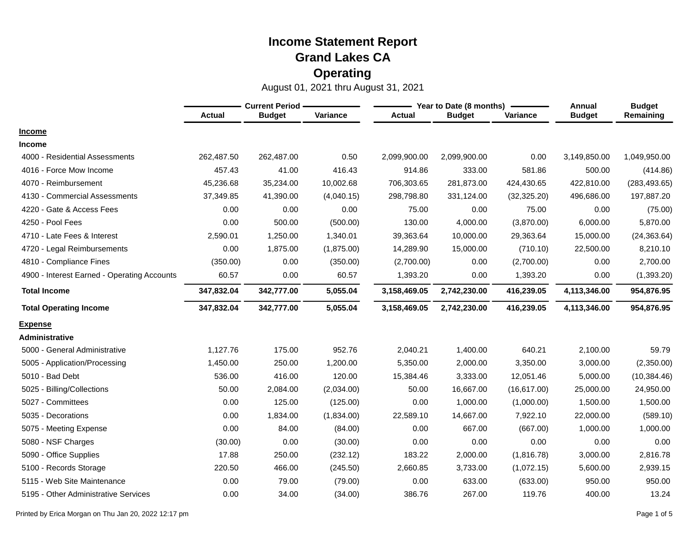|                                             | <b>Current Period -</b> |               |            |               | Year to Date (8 months) | Annual       | <b>Budget</b> |               |
|---------------------------------------------|-------------------------|---------------|------------|---------------|-------------------------|--------------|---------------|---------------|
|                                             | <b>Actual</b>           | <b>Budget</b> | Variance   | <b>Actual</b> | <b>Budget</b>           | Variance     | <b>Budget</b> | Remaining     |
| <b>Income</b>                               |                         |               |            |               |                         |              |               |               |
| <b>Income</b>                               |                         |               |            |               |                         |              |               |               |
| 4000 - Residential Assessments              | 262,487.50              | 262,487.00    | 0.50       | 2,099,900.00  | 2,099,900.00            | 0.00         | 3,149,850.00  | 1,049,950.00  |
| 4016 - Force Mow Income                     | 457.43                  | 41.00         | 416.43     | 914.86        | 333.00                  | 581.86       | 500.00        | (414.86)      |
| 4070 - Reimbursement                        | 45,236.68               | 35,234.00     | 10,002.68  | 706,303.65    | 281,873.00              | 424,430.65   | 422,810.00    | (283, 493.65) |
| 4130 - Commercial Assessments               | 37,349.85               | 41,390.00     | (4,040.15) | 298,798.80    | 331,124.00              | (32, 325.20) | 496,686.00    | 197,887.20    |
| 4220 - Gate & Access Fees                   | 0.00                    | 0.00          | 0.00       | 75.00         | 0.00                    | 75.00        | 0.00          | (75.00)       |
| 4250 - Pool Fees                            | 0.00                    | 500.00        | (500.00)   | 130.00        | 4,000.00                | (3,870.00)   | 6,000.00      | 5,870.00      |
| 4710 - Late Fees & Interest                 | 2,590.01                | 1,250.00      | 1,340.01   | 39,363.64     | 10,000.00               | 29,363.64    | 15,000.00     | (24, 363.64)  |
| 4720 - Legal Reimbursements                 | 0.00                    | 1,875.00      | (1,875.00) | 14,289.90     | 15,000.00               | (710.10)     | 22,500.00     | 8,210.10      |
| 4810 - Compliance Fines                     | (350.00)                | 0.00          | (350.00)   | (2,700.00)    | 0.00                    | (2,700.00)   | 0.00          | 2,700.00      |
| 4900 - Interest Earned - Operating Accounts | 60.57                   | 0.00          | 60.57      | 1,393.20      | 0.00                    | 1,393.20     | 0.00          | (1,393.20)    |
| <b>Total Income</b>                         | 347,832.04              | 342,777.00    | 5,055.04   | 3,158,469.05  | 2,742,230.00            | 416,239.05   | 4,113,346.00  | 954,876.95    |
| <b>Total Operating Income</b>               | 347,832.04              | 342,777.00    | 5,055.04   | 3,158,469.05  | 2,742,230.00            | 416,239.05   | 4,113,346.00  | 954,876.95    |
| <u>Expense</u>                              |                         |               |            |               |                         |              |               |               |
| Administrative                              |                         |               |            |               |                         |              |               |               |
| 5000 - General Administrative               | 1,127.76                | 175.00        | 952.76     | 2,040.21      | 1,400.00                | 640.21       | 2,100.00      | 59.79         |
| 5005 - Application/Processing               | 1,450.00                | 250.00        | 1,200.00   | 5,350.00      | 2,000.00                | 3,350.00     | 3,000.00      | (2,350.00)    |
| 5010 - Bad Debt                             | 536.00                  | 416.00        | 120.00     | 15,384.46     | 3,333.00                | 12,051.46    | 5,000.00      | (10, 384.46)  |
| 5025 - Billing/Collections                  | 50.00                   | 2,084.00      | (2,034.00) | 50.00         | 16,667.00               | (16, 617.00) | 25,000.00     | 24,950.00     |
| 5027 - Committees                           | 0.00                    | 125.00        | (125.00)   | 0.00          | 1,000.00                | (1,000.00)   | 1,500.00      | 1,500.00      |
| 5035 - Decorations                          | 0.00                    | 1,834.00      | (1,834.00) | 22,589.10     | 14,667.00               | 7,922.10     | 22,000.00     | (589.10)      |
| 5075 - Meeting Expense                      | 0.00                    | 84.00         | (84.00)    | 0.00          | 667.00                  | (667.00)     | 1,000.00      | 1,000.00      |
| 5080 - NSF Charges                          | (30.00)                 | 0.00          | (30.00)    | 0.00          | 0.00                    | 0.00         | 0.00          | 0.00          |
| 5090 - Office Supplies                      | 17.88                   | 250.00        | (232.12)   | 183.22        | 2,000.00                | (1,816.78)   | 3,000.00      | 2,816.78      |
| 5100 - Records Storage                      | 220.50                  | 466.00        | (245.50)   | 2,660.85      | 3,733.00                | (1,072.15)   | 5,600.00      | 2,939.15      |
| 5115 - Web Site Maintenance                 | 0.00                    | 79.00         | (79.00)    | 0.00          | 633.00                  | (633.00)     | 950.00        | 950.00        |
| 5195 - Other Administrative Services        | 0.00                    | 34.00         | (34.00)    | 386.76        | 267.00                  | 119.76       | 400.00        | 13.24         |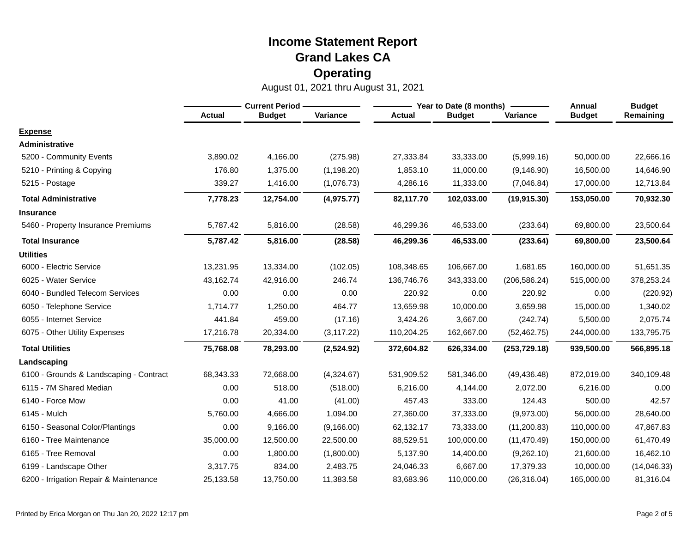|                                         |               | <b>Current Period</b> |             | Year to Date (8 months) |               |               |               | <b>Budget</b> |
|-----------------------------------------|---------------|-----------------------|-------------|-------------------------|---------------|---------------|---------------|---------------|
|                                         | <b>Actual</b> | <b>Budget</b>         | Variance    | <b>Actual</b>           | <b>Budget</b> | Variance      | <b>Budget</b> | Remaining     |
| <b>Expense</b>                          |               |                       |             |                         |               |               |               |               |
| <b>Administrative</b>                   |               |                       |             |                         |               |               |               |               |
| 5200 - Community Events                 | 3,890.02      | 4,166.00              | (275.98)    | 27,333.84               | 33,333.00     | (5,999.16)    | 50,000.00     | 22,666.16     |
| 5210 - Printing & Copying               | 176.80        | 1,375.00              | (1, 198.20) | 1,853.10                | 11,000.00     | (9, 146.90)   | 16,500.00     | 14,646.90     |
| 5215 - Postage                          | 339.27        | 1,416.00              | (1,076.73)  | 4,286.16                | 11,333.00     | (7,046.84)    | 17,000.00     | 12,713.84     |
| <b>Total Administrative</b>             | 7,778.23      | 12,754.00             | (4,975.77)  | 82,117.70               | 102,033.00    | (19, 915.30)  | 153,050.00    | 70,932.30     |
| <b>Insurance</b>                        |               |                       |             |                         |               |               |               |               |
| 5460 - Property Insurance Premiums      | 5,787.42      | 5,816.00              | (28.58)     | 46,299.36               | 46,533.00     | (233.64)      | 69,800.00     | 23,500.64     |
| <b>Total Insurance</b>                  | 5,787.42      | 5,816.00              | (28.58)     | 46,299.36               | 46,533.00     | (233.64)      | 69,800.00     | 23,500.64     |
| <b>Utilities</b>                        |               |                       |             |                         |               |               |               |               |
| 6000 - Electric Service                 | 13,231.95     | 13,334.00             | (102.05)    | 108,348.65              | 106,667.00    | 1,681.65      | 160,000.00    | 51,651.35     |
| 6025 - Water Service                    | 43.162.74     | 42.916.00             | 246.74      | 136,746.76              | 343,333.00    | (206, 586.24) | 515,000.00    | 378,253.24    |
| 6040 - Bundled Telecom Services         | 0.00          | 0.00                  | 0.00        | 220.92                  | 0.00          | 220.92        | 0.00          | (220.92)      |
| 6050 - Telephone Service                | 1,714.77      | 1,250.00              | 464.77      | 13,659.98               | 10,000.00     | 3,659.98      | 15,000.00     | 1,340.02      |
| 6055 - Internet Service                 | 441.84        | 459.00                | (17.16)     | 3,424.26                | 3,667.00      | (242.74)      | 5,500.00      | 2,075.74      |
| 6075 - Other Utility Expenses           | 17,216.78     | 20,334.00             | (3, 117.22) | 110,204.25              | 162,667.00    | (52, 462.75)  | 244,000.00    | 133,795.75    |
| <b>Total Utilities</b>                  | 75,768.08     | 78,293.00             | (2,524.92)  | 372,604.82              | 626,334.00    | (253, 729.18) | 939,500.00    | 566,895.18    |
| Landscaping                             |               |                       |             |                         |               |               |               |               |
| 6100 - Grounds & Landscaping - Contract | 68,343.33     | 72,668.00             | (4,324.67)  | 531,909.52              | 581,346.00    | (49, 436.48)  | 872,019.00    | 340,109.48    |
| 6115 - 7M Shared Median                 | 0.00          | 518.00                | (518.00)    | 6,216.00                | 4,144.00      | 2,072.00      | 6,216.00      | 0.00          |
| 6140 - Force Mow                        | 0.00          | 41.00                 | (41.00)     | 457.43                  | 333.00        | 124.43        | 500.00        | 42.57         |
| 6145 - Mulch                            | 5,760.00      | 4,666.00              | 1,094.00    | 27,360.00               | 37,333.00     | (9,973.00)    | 56,000.00     | 28,640.00     |
| 6150 - Seasonal Color/Plantings         | 0.00          | 9,166.00              | (9, 166.00) | 62,132.17               | 73,333.00     | (11, 200.83)  | 110,000.00    | 47,867.83     |
| 6160 - Tree Maintenance                 | 35,000.00     | 12,500.00             | 22,500.00   | 88,529.51               | 100,000.00    | (11, 470.49)  | 150,000.00    | 61,470.49     |
| 6165 - Tree Removal                     | 0.00          | 1,800.00              | (1,800.00)  | 5,137.90                | 14,400.00     | (9,262.10)    | 21,600.00     | 16,462.10     |
| 6199 - Landscape Other                  | 3,317.75      | 834.00                | 2,483.75    | 24,046.33               | 6,667.00      | 17,379.33     | 10,000.00     | (14,046.33)   |
| 6200 - Irrigation Repair & Maintenance  | 25,133.58     | 13,750.00             | 11,383.58   | 83,683.96               | 110,000.00    | (26, 316.04)  | 165,000.00    | 81,316.04     |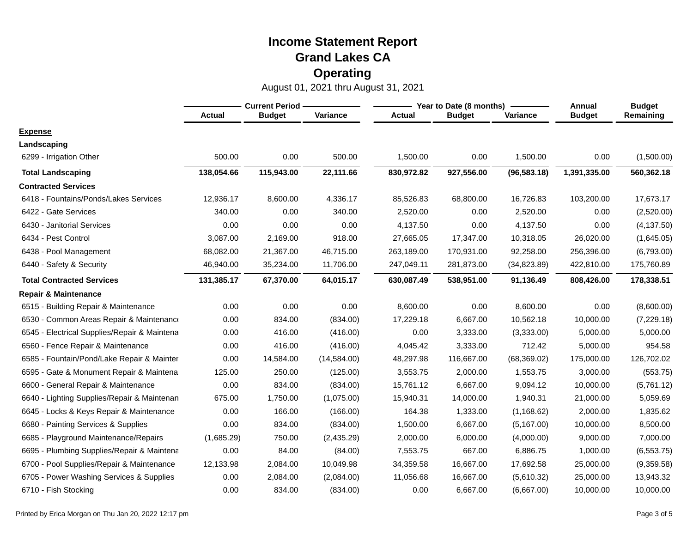|                                              | <b>Current Period</b> |               |              |               | Year to Date (8 months) | Annual       | <b>Budget</b> |             |
|----------------------------------------------|-----------------------|---------------|--------------|---------------|-------------------------|--------------|---------------|-------------|
|                                              | <b>Actual</b>         | <b>Budget</b> | Variance     | <b>Actual</b> | <b>Budget</b>           | Variance     | <b>Budget</b> | Remaining   |
| <b>Expense</b>                               |                       |               |              |               |                         |              |               |             |
| Landscaping                                  |                       |               |              |               |                         |              |               |             |
| 6299 - Irrigation Other                      | 500.00                | 0.00          | 500.00       | 1,500.00      | 0.00                    | 1,500.00     | 0.00          | (1,500.00)  |
| <b>Total Landscaping</b>                     | 138,054.66            | 115,943.00    | 22,111.66    | 830,972.82    | 927,556.00              | (96, 583.18) | 1,391,335.00  | 560,362.18  |
| <b>Contracted Services</b>                   |                       |               |              |               |                         |              |               |             |
| 6418 - Fountains/Ponds/Lakes Services        | 12,936.17             | 8,600.00      | 4,336.17     | 85,526.83     | 68,800.00               | 16,726.83    | 103,200.00    | 17,673.17   |
| 6422 - Gate Services                         | 340.00                | 0.00          | 340.00       | 2,520.00      | 0.00                    | 2,520.00     | 0.00          | (2,520.00)  |
| 6430 - Janitorial Services                   | 0.00                  | 0.00          | 0.00         | 4,137.50      | 0.00                    | 4,137.50     | 0.00          | (4, 137.50) |
| 6434 - Pest Control                          | 3,087.00              | 2,169.00      | 918.00       | 27,665.05     | 17,347.00               | 10,318.05    | 26,020.00     | (1,645.05)  |
| 6438 - Pool Management                       | 68,082.00             | 21,367.00     | 46,715.00    | 263,189.00    | 170,931.00              | 92,258.00    | 256,396.00    | (6,793.00)  |
| 6440 - Safety & Security                     | 46,940.00             | 35,234.00     | 11,706.00    | 247,049.11    | 281,873.00              | (34, 823.89) | 422,810.00    | 175,760.89  |
| <b>Total Contracted Services</b>             | 131,385.17            | 67,370.00     | 64,015.17    | 630,087.49    | 538,951.00              | 91,136.49    | 808,426.00    | 178,338.51  |
| <b>Repair &amp; Maintenance</b>              |                       |               |              |               |                         |              |               |             |
| 6515 - Building Repair & Maintenance         | 0.00                  | 0.00          | 0.00         | 8,600.00      | 0.00                    | 8,600.00     | 0.00          | (8,600.00)  |
| 6530 - Common Areas Repair & Maintenance     | 0.00                  | 834.00        | (834.00)     | 17,229.18     | 6,667.00                | 10,562.18    | 10,000.00     | (7, 229.18) |
| 6545 - Electrical Supplies/Repair & Maintena | 0.00                  | 416.00        | (416.00)     | 0.00          | 3,333.00                | (3,333.00)   | 5,000.00      | 5,000.00    |
| 6560 - Fence Repair & Maintenance            | 0.00                  | 416.00        | (416.00)     | 4,045.42      | 3,333.00                | 712.42       | 5,000.00      | 954.58      |
| 6585 - Fountain/Pond/Lake Repair & Mainter   | 0.00                  | 14,584.00     | (14, 584.00) | 48,297.98     | 116,667.00              | (68, 369.02) | 175,000.00    | 126,702.02  |
| 6595 - Gate & Monument Repair & Maintena     | 125.00                | 250.00        | (125.00)     | 3,553.75      | 2,000.00                | 1,553.75     | 3,000.00      | (553.75)    |
| 6600 - General Repair & Maintenance          | 0.00                  | 834.00        | (834.00)     | 15,761.12     | 6,667.00                | 9,094.12     | 10,000.00     | (5,761.12)  |
| 6640 - Lighting Supplies/Repair & Maintenan  | 675.00                | 1,750.00      | (1,075.00)   | 15,940.31     | 14,000.00               | 1,940.31     | 21,000.00     | 5,059.69    |
| 6645 - Locks & Keys Repair & Maintenance     | 0.00                  | 166.00        | (166.00)     | 164.38        | 1,333.00                | (1, 168.62)  | 2,000.00      | 1,835.62    |
| 6680 - Painting Services & Supplies          | 0.00                  | 834.00        | (834.00)     | 1,500.00      | 6,667.00                | (5, 167.00)  | 10,000.00     | 8,500.00    |
| 6685 - Playground Maintenance/Repairs        | (1,685.29)            | 750.00        | (2,435.29)   | 2,000.00      | 6,000.00                | (4,000.00)   | 9,000.00      | 7,000.00    |
| 6695 - Plumbing Supplies/Repair & Maintena   | 0.00                  | 84.00         | (84.00)      | 7,553.75      | 667.00                  | 6,886.75     | 1,000.00      | (6, 553.75) |
| 6700 - Pool Supplies/Repair & Maintenance    | 12,133.98             | 2,084.00      | 10,049.98    | 34,359.58     | 16,667.00               | 17,692.58    | 25,000.00     | (9,359.58)  |
| 6705 - Power Washing Services & Supplies     | 0.00                  | 2,084.00      | (2,084.00)   | 11,056.68     | 16,667.00               | (5,610.32)   | 25,000.00     | 13,943.32   |
| 6710 - Fish Stocking                         | 0.00                  | 834.00        | (834.00)     | 0.00          | 6,667.00                | (6,667.00)   | 10,000.00     | 10,000.00   |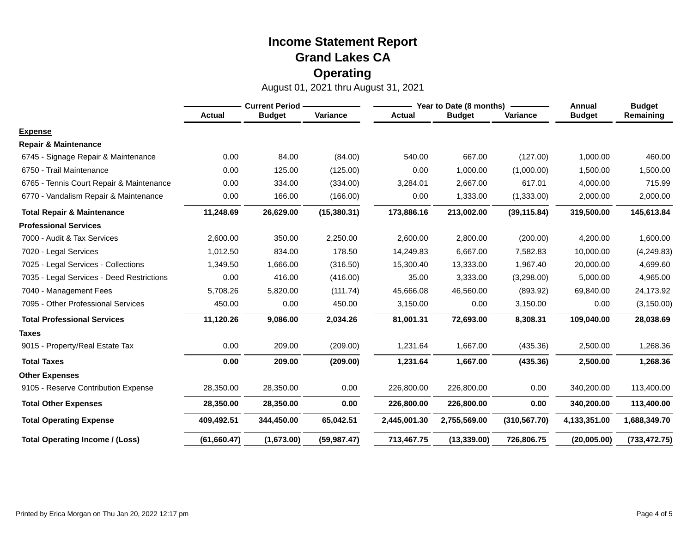|                                           | <b>Current Period -</b> |               |              | Year to Date (8 months) |               |               | Annual        | <b>Budget</b> |
|-------------------------------------------|-------------------------|---------------|--------------|-------------------------|---------------|---------------|---------------|---------------|
|                                           | <b>Actual</b>           | <b>Budget</b> | Variance     | <b>Actual</b>           | <b>Budget</b> | Variance      | <b>Budget</b> | Remaining     |
| <b>Expense</b>                            |                         |               |              |                         |               |               |               |               |
| <b>Repair &amp; Maintenance</b>           |                         |               |              |                         |               |               |               |               |
| 6745 - Signage Repair & Maintenance       | 0.00                    | 84.00         | (84.00)      | 540.00                  | 667.00        | (127.00)      | 1,000.00      | 460.00        |
| 6750 - Trail Maintenance                  | 0.00                    | 125.00        | (125.00)     | 0.00                    | 1,000.00      | (1,000.00)    | 1,500.00      | 1,500.00      |
| 6765 - Tennis Court Repair & Maintenance  | 0.00                    | 334.00        | (334.00)     | 3,284.01                | 2,667.00      | 617.01        | 4,000.00      | 715.99        |
| 6770 - Vandalism Repair & Maintenance     | 0.00                    | 166.00        | (166.00)     | 0.00                    | 1,333.00      | (1,333.00)    | 2,000.00      | 2,000.00      |
| <b>Total Repair &amp; Maintenance</b>     | 11,248.69               | 26,629.00     | (15,380.31)  | 173,886.16              | 213,002.00    | (39, 115.84)  | 319,500.00    | 145,613.84    |
| <b>Professional Services</b>              |                         |               |              |                         |               |               |               |               |
| 7000 - Audit & Tax Services               | 2,600.00                | 350.00        | 2,250.00     | 2,600.00                | 2,800.00      | (200.00)      | 4,200.00      | 1,600.00      |
| 7020 - Legal Services                     | 1,012.50                | 834.00        | 178.50       | 14,249.83               | 6,667.00      | 7,582.83      | 10,000.00     | (4,249.83)    |
| 7025 - Legal Services - Collections       | 1,349.50                | 1,666.00      | (316.50)     | 15,300.40               | 13,333.00     | 1,967.40      | 20,000.00     | 4,699.60      |
| 7035 - Legal Services - Deed Restrictions | 0.00                    | 416.00        | (416.00)     | 35.00                   | 3,333.00      | (3,298.00)    | 5,000.00      | 4,965.00      |
| 7040 - Management Fees                    | 5,708.26                | 5,820.00      | (111.74)     | 45,666.08               | 46,560.00     | (893.92)      | 69,840.00     | 24,173.92     |
| 7095 - Other Professional Services        | 450.00                  | 0.00          | 450.00       | 3,150.00                | 0.00          | 3,150.00      | 0.00          | (3, 150.00)   |
| <b>Total Professional Services</b>        | 11,120.26               | 9,086.00      | 2,034.26     | 81,001.31               | 72,693.00     | 8,308.31      | 109,040.00    | 28,038.69     |
| <b>Taxes</b>                              |                         |               |              |                         |               |               |               |               |
| 9015 - Property/Real Estate Tax           | 0.00                    | 209.00        | (209.00)     | 1,231.64                | 1,667.00      | (435.36)      | 2,500.00      | 1,268.36      |
| <b>Total Taxes</b>                        | 0.00                    | 209.00        | (209.00)     | 1,231.64                | 1,667.00      | (435.36)      | 2,500.00      | 1,268.36      |
| <b>Other Expenses</b>                     |                         |               |              |                         |               |               |               |               |
| 9105 - Reserve Contribution Expense       | 28,350.00               | 28,350.00     | 0.00         | 226,800.00              | 226,800.00    | 0.00          | 340,200.00    | 113,400.00    |
| <b>Total Other Expenses</b>               | 28,350.00               | 28,350.00     | 0.00         | 226,800.00              | 226,800.00    | 0.00          | 340,200.00    | 113,400.00    |
| <b>Total Operating Expense</b>            | 409,492.51              | 344,450.00    | 65,042.51    | 2,445,001.30            | 2,755,569.00  | (310, 567.70) | 4,133,351.00  | 1,688,349.70  |
| <b>Total Operating Income / (Loss)</b>    | (61,660.47)             | (1,673.00)    | (59, 987.47) | 713,467.75              | (13, 339.00)  | 726,806.75    | (20,005.00)   | (733, 472.75) |
|                                           |                         |               |              |                         |               |               |               |               |